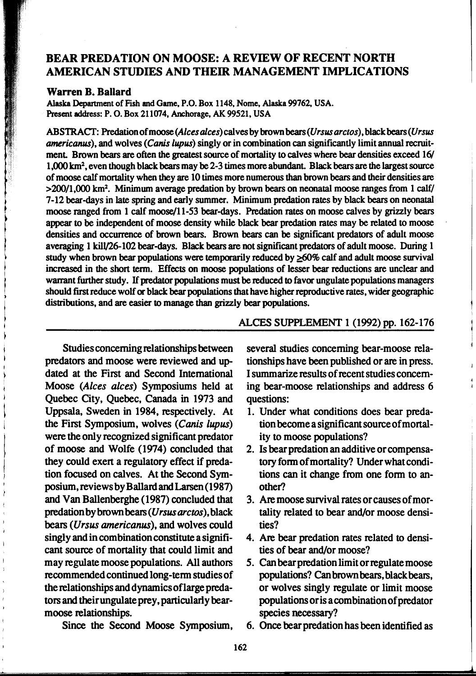## BEAR PREDATION ON MOOSE: A REVIEW OF RECENT NORTH AMERICAN STUDIES AND THEIR MANAGEMENT IMPLICATIONS

## Warren B. Ballard

Alaska Department of Fish and Game, P.O. Box 1148, Nome, Alaska 99762, USA. Present address: P. 0. Box 211074, Anchorage, AK 99521, USA

ABSTRACT: Predation of moose (Alces alces) calves by brown bears (Ursus arctos), black bears (Ursus americanus), and wolves (Canis lupus) singly or in combination can significantly limit annual recruitment. Brown bears are often the greatest source of mortality to calves where bear densities exceed 16/ 1,000 km2, even though black bears may be 2-3 times more abundant. Black bears are the largest source of moose calf mortality when they are 10 times more numerous than brown bears and their densities are  $>200/1,000$  km<sup>2</sup>. Minimum average predation by brown bears on neonatal moose ranges from 1 calf/ 7-12 bear-days in late spring and early summer. Minimum predation rates by black bears on neonatal moose ranged from 1 calf moose/11-53 bear-days. Predation rates on moose calves by grizzly bears appear to be independent of moose density while black bear predation rates may be related to moose densities and occurrence of brown bears. Brown bears can be significant predators of adult moose averaging 1 kill/26-102 bear-days. Black bears are not significant predators of adult moose. During 1 study when brown bear populations were temporarily reduced by  $\geq 60\%$  calf and adult moose survival increased in the short term. Effects on moose populations of lesser bear reductions are unclear and warrant further study. *H* predator populations must be reduced to favor ungulate populations managers should first reduce wolf or black bear populations that have higher reproductive rates, wider geographic distributions, and are easier to manage than grizzly bear populations.

Studies concerning relationships between predators and moose were reviewed and updated at the First and Second International Moose (Alces alces) Symposiums held at Quebec City, Quebec, Canada in 1973 and Uppsala, Sweden in 1984, respectively. At the First Symposium, wolves (Canis lupus) were the only recognized significant predator of moose and Wolfe (1974) concluded that they could exert a regulatory effect if predation focused on calves. At the Second Symposium, reviews by Ballard and Larsen (1987) and Van Ballenberghe (1987) concluded that predation by brown bears (Ursus arctos), black bears (Ursus americanus), and wolves could singly and in combination constitute a significant source of mortality that could limit and may regulate moose populations. All authors recommended continued long-tenn studies of the relationships and dynamics oflarge predators and their ungulate prey, particularly bearmoose relationships.

ALCES SUPPLEMENT 1 (1992) pp. 162-176

several studies concerning bear-moose relationships have been published or are in press. I summarize results of recent studies concerning bear-moose relationships and address 6 questions:

- 1. Under what conditions does bear predation become a significant source of mortality to moose populations?
- 2. Is bear predation an additive or compensatory fonn of mortality? Under what conditions can it change from one fonn to another?
- 3. Are moose survival rates or causes of mortality related to bear and/or moose densities?
- 4. Are bear predation rates related to densities of bear and/or moose?
- *5.* Can bear predation limit or regulate moose populations? Can brown bears, black bears, or wolves singly regulate or limit moose populations oris a combination of predator species necessary?

Since the Second Moose Symposium,

6. Once bear predation has been identified as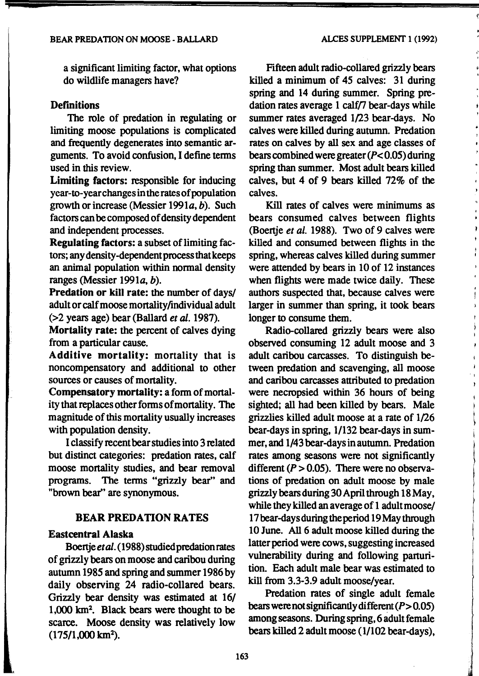a significant limiting factor, what options do wildlife managers have?

## **Definitions**

The role of predation in regulating or limiting moose populations is complicated and frequently degenerates into semantic arguments. To avoid confusion, I define tenns used in this review.

Limiting factors: responsible for inducing year-to-yearchangesintheratesofpopulation growth or increase (Messier 1991a, b). Such factors can be composed of density dependent and independent processes.

Regulating factors: a subset of limiting factors; any density-dependent process that keeps an animal population within normal density ranges (Messier 1991a, b).

Predation or kill rate: the number of days/ adult or calf moose mortality/individual adult (>2 years age) bear (Ballard *et* al. 1987).

Mortality rate: the percent of calves dying from a particular cause.

Additive mortality: mortality that is noncompensatory and additional to other sources or causes of mortality.

Compensatory mortality: a form of mortality that replaces other fonns of mortality. The magnitude of this mortality usually increases with population density.

I classify recent bear studies into 3 related but distinct categories: predation rates, calf moose mortality studies, and bear removal programs. The tenns "grizzly bear" and "brown bear'' are synonymous.

## BEAR PREDATION RATES

## Eastcentral Alaska

Boertje et al. (1988) studied predation rates of grizzly bears on moose and caribou during autumn 1985 and spring and summer 1986 by daily observing 24 radio-collared bears. Grizzly bear density was estimated at 16/ 1,000 km<sup>2</sup>. Black bears were thought to be scarce. Moose density was relatively low (175/1,000 km<sup>2</sup>).

Fifteen adult radio-collared grizzly bears killed a minimum of 45 calves: 31 during spring and 14 during summer. Spring predation rates average  $1$  calf/7 bear-days while summer rates averaged 1/23 bear-days. No calves were killed during autumn. Predation rates on calves by all sex and age classes of bears combined were greater *(P<* 0.05) during spring than summer. Most adult bears killed calves, but 4 of 9 bears killed 72% of the calves.

Kill rates of calves were minimums as bears consumed calves between flights (Boertje *et al.* 1988). Two of 9 calves were killed and consumed between flights in the spring, whereas calves killed during summer were attended by bears in 10 of 12 instances when flights were made twice daily. These authors suspected that, because calves were larger in summer than spring, it took bears longer to consume them.

Radio-collared grizzly bears were also observed consuming 12 adult moose and 3 adult caribou carcasses. To distinguish between predation and scavenging, all moose and caribou carcasses attributed to predation were necropsied within 36 hours of being sighted; all had been killed by bears. Male grizzlies killed adult moose at a rate of 1/26 bear-days in spring, 1/132 bear-days in summer, and 1/43 bear-days in autumn. Predation rates among seasons were not significantly different  $(P > 0.05)$ . There were no observations of predation on adult moose by male grizzly bears during 30 April through 18 May, while they killed an average of 1 adult moose/ 17bear-daysduringtheperiod 19Maythrough 10 June. All 6 adult moose killed during the latter period were cows, suggesting increased vulnerability during and following parturition. Each adult male bear was estimated to kill from 3.3-3.9 adult moose/year.

Predation rates of single adult female bears were not significantly different  $(P>0.05)$ among seasons. During spring, 6 adult female bears killed 2 adult moose {1/102 bear-days),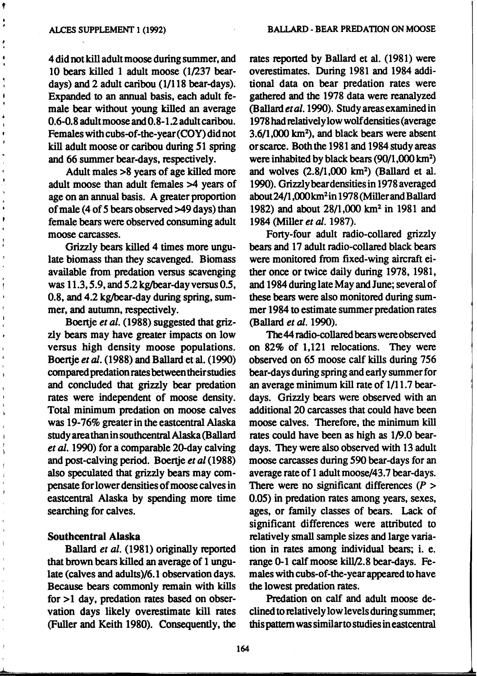'<br>,<br>,

4 did not kill adult moose during summer, and 10 bears killed 1 adult moose  $(1/237$  beardays) and 2 adult caribou (1/118 bear-days). Expanded to an annual basis, each adult female bear without young killed an average 0.6-0.8 adult moose and 0.8-1.2 adult caribou. Females with cubs-of-the-year(COY) did not kill adult moose or caribou during 51 spring and 66 summer bear-days, respectively.

Adult males >8 years of age killed more adult moose than adult females >4 years of age on an annual basis. A greater proportion of male (4 of 5 bears observed >49 days) than female bears were observed consuming adult moose carcasses.

Grizzly bears killed 4 times more ungulate biomass than they scavenged. Biomass available from predation versus scavenging was 11.3, 5.9, and 5.2 kg/bear-day versus 0.5, 0.8, and 4.2 kg/bear-day during spring, summer, and autumn, respectively.

Boertje et al. (1988) suggested that grizzly bears may have greater impacts on low versus high density moose populations. Boenje *et* al. (1988) and Ballard et al. (1990) compared predation rates between their studies and concluded that grizzly bear predation rates were independent of moose density. Total minimum predation on moose calves was 19-76% greater in the eastcentral Alaska study area than in southcentral Alaska (Ballard *et* al. 1990) for a comparable 20-day calving and post-calving period. Boenje *et al* (1988) also speculated that grizzly bears may compensate for lower densities of moose calves in eastcentral Alaska by spending more time searching for calves.

## Southcentral Alaska

Ballard *et al.* (1981) originally reported that brown bears killed an average of 1 ungulate (calves and adults)/6.1 observation days. Because bears commonly remain with kills for  $>1$  day, predation rates based on observation days likely overestimate kill rates (Fuller and Keith 1980). Consequently, the

rates reported by Ballard et al. (1981) were overestimates. During 1981 and 1984 additional data on bear predation rates were gathered and the 1978 data were reanalyzed *(Ballardeta/.1990).* Studyareasexaminedin 1978 had relatively low wolf densities (average 3.6/1,000 km<sup>2</sup> ), and black bears were absent or scarce. Both the 1981 and 1984 study areas were inhabited by black bears (90/1 ,000 km<sup>2</sup> ) and wolves  $(2.8/1,000 \text{ km}^2)$  (Ballard et al. 1990). Grizzlybeardensitiesin 1978averaged about 24/1,000 km<sup>2</sup> in 1978 (Miller and Ballard 1982) and about 28/1,000 km2 in 1981 and 1984 (Miller *et* al. 1987).

Fony-four adult radio-collared grizzly bears and 17 adult radio-collared black bears were monitored from fixed~wing aircraft either once or twice daily during 1978, 1981, and 1984 during late May and June; several of these bears were also monitored during summer 1984 to estimate summer predation rates (Ballard *et* al. 1990).

The 44 radio-collared bears were observed on 82% of 1,121 relocations. They were observed on 65 moose calf kills during 756 bear-days during spring and early summer for an average minimum kill rate of 1/11.7 beardays. Grizzly bears were observed with an additional 20 carcasses that could have been moose calves. Therefore, the minimum kill rates could have been as high as 1/9.0 beardays. They were also observed with 13 adult moose carcasses during 590 bear-days for an average rate of 1 adult moose/43.7 bear-days. There were no significant differences  $(P >$ 0.05) in predation rates among years, sexes, ages, or family classes of bears. Lack of significant differences were attributed to relatively small sample sizes and large variation in rates among individual bears; i. e. range 0-1 calf moose kill/2.8 bear-days. Females with cubs-of-the-year appeared to have the lowest predation rates.

Predation on calf and adult moose declined to relatively low levels during summer; this pattern was similar to studies ineastcentral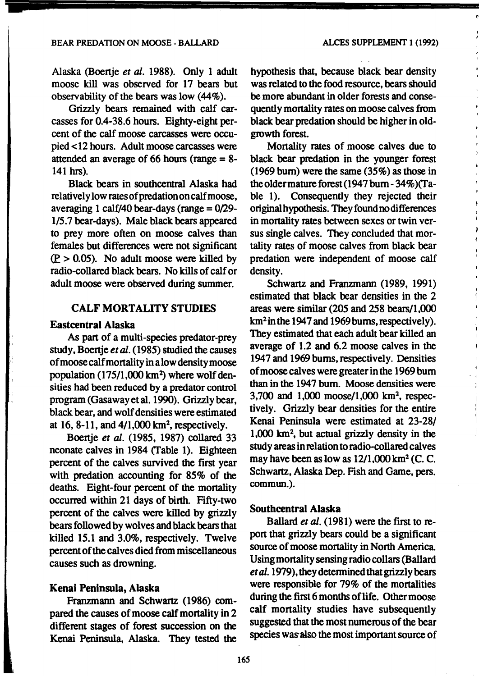Alaska (Boertje *et* al. 1988). Only 1 adult moose kill was observed for 17 bears but observability of the bears was low (44%).

Grizzly bears remained with calf carcasses for 0.4-38.6 hours. Eighty-eight percent of the calf moose carcasses were occupied <12 hours. Adult moose carcasses were attended an average of 66 hours (range = 8- 141 hrs).

Black bears in southcentral Alaska had relatively low rates of predation on calf moose, averaging 1 calf/40 bear-days (range  $= 0/29$ -1/5.7 bear-days). Male black bears appeared to prey more often on moose calves than females but differences were not significant  $(P > 0.05)$ . No adult moose were killed by radio-collared black bears. No kills of calf or adult moose were observed during summer.

## CALF MORTALITY STUDIES

## Eastcentral Alaska

As part of a multi-species predator-prey study, Boertje *et* al. (1985) studied the causes of moose calf mortality in a low density moose population  $(175/1,000 \text{ km}^2)$  where wolf densities had been reduced by a predator control program (Gasaway et al. 1990). Grizzly bear, black bear, and wolf densities were estimated at  $16$ ,  $8-11$ , and  $4/1,000$  km<sup>2</sup>, respectively.

Boertje *et* al. (1985, 1987) collared 33 neonate calves in 1984 (Table 1). Eighteen percent of the calves survived the first year with predation accounting for 85% of the deaths. Eight-four percent of the mortality occurred within 21 days of birth. Fifty-two percent of the calves were killed by grizzly bears followed by wolves and black bears that killed 15.1 and 3.0%, respectively. Twelve percent of the calves died from miscellaneous causes such as drowning.

## Kenai Peninsula, Alaska

Franzmann and Schwartz (1986) compared the causes of moose calf mortality in 2 different stages of forest succession on the Kenai Peninsula, Alaska. They tested the hypothesis that, because black bear density was related to the food resource, bears should be more abundant in older forests and consequently mortality rates on moose calves from black bear predation should be higher in oldgrowth forest.

Mortality rates of moose calves due to black bear predation in the younger forest (1969 bum) were the same (35%) as those in the older mature forest (1947 bum - 34%)(Table 1). Consequently they rejected their original hypothesis. They found no differences in mortality rates between sexes or twin versus single calves. They concluded that mortality rates of moose calves from black bear predation were independent of moose calf density.

Schwartz and Franzmann (1989, 1991) estimated that black bear densities in the 2 areas were similar (205 and 258 bears/1,000 km<sup>2</sup> in the 1947 and 1969 burns, respectively). They estimated that each adult bear killed an average of 1.2 and 6.2 moose calves in the 1947 and 1969 bums, respectively. Densities of moose calves were greater in the 1969 bum than in the 1947 bum. Moose densities were 3,700 and 1,000 moose/1,000 km2, respectively. Grizzly bear densities for the entire Kenai Peninsula were estimated at 23-28/ 1,000 km2 , but actual grizzly density in the study areas in relation to radio-collared calves may have been as low as  $12/1,000$  km<sup>2</sup> (C. C. Schwartz, Alaska Dep. Fish and Game, pers. commun.).

-I

## Southcentral Alaska

Ballard *et al.* (1981) were the first to report that grizzly bears could be a significant source of moose mortality in North America. Using mortality sensing radio collars (Ballard *et al.* 1979), they detennined that grizzly bears were responsible for 79% of the mortalities during the first 6 months of life. Other moose calf mortality studies have subsequently suggested that the most numerous of the bear species was also the most important source of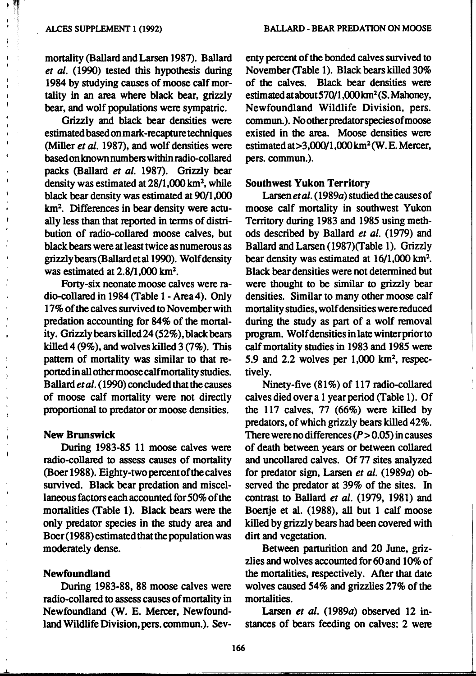$, , ,$ 

t

mortality (Ballard and Larsen 1987). Ballard *et* al. (1990) tested this hypothesis during 1984 by studying causes of moose calf mortality in an area where black bear, grizzly bear, and wolf populations were sympatric.

Grizzly and black bear densities were estimated based on mark-recapture techniques (Miller *et al.* 1987), and wolf densities were basedonknownnumbers within radio-collared packs (Ballard *et al.* 1987). Grizzly bear density was estimated at 28/1,000 km<sup>2</sup>, while black bear density was estimated at 90/1 ,000 km<sup>2</sup>. Differences in bear density were actually less than that reported in tenns of distribution of radio-collared moose calves, but black bears were at least twice as numerous as grizzlybears(Ballardetal1990). Wolfdensity was estimated at  $2.8/1,000$  km<sup>2</sup>.

Forty-six neonate moose calves were radio-collared in 1984 (Table 1- Area4). Only 17% of the calves sutvived to November with predation accounting for 84% of the mortality. Grizzly bears killed 24 (52%), black bears killed  $4(9\%)$ , and wolves killed  $3(7\%)$ . This pattern of mortality was similar to that reportedinallothermoosecalfmortalitystudies. Ballard *et al.* (1990) concluded that the causes of moose calf mortality were not directly proportional to predator or moose densities.

## New Brunswick

During 1983-85 11 moose calves were radio-collared to assess causes of mortality (Boer 1988). Eighty-two percent of the calves sutvived. Black bear predation and miscellaneous factors each accounted for 50% of the mortalities (Table 1). Black bears were the only predator species in the study area and Boer (1988) estimated that the population was moderately dense.

## Newfoundland

 $\overline{\phantom{a}}$ 

During 1983-88, 88 moose calves were radio-collared to assess causes of mortality in Newfoundland (W. E. Mercer, Newfoundland Wildlife Division, pers. commun.). Sev-

enty percent of the bonded calves sutvived to November (Table 1). Black bears killed 30% of the calves. Black bear densities were estimated at about 570/1,000 km<sup>2</sup> (S. Mahoney, Newfoundland Wildlife Division, pers. commun.). No other predator species of moose existed in the area. Moose densities were estimated at  $>3,000/1,000$  km<sup>2</sup> (W. E. Mercer, pers. commun.).

### Southwest Yukon Territory

Larsen et al. (1989a) studied the causes of moose calf mortality in southwest Yukon Territory during 1983 and 1985 using methods described by Ballard *et al.* (1979) and Ballard and Larsen (1987)(Table 1). Grizzly bear density was estimated at  $16/1,000$  km<sup>2</sup>. Black bear densities were not determined but were thought to be similar to grizzly bear densities. Similar to many other moose calf mortality studies, wolf densities were reduced during the study as part of a wolf removal program. Wolf densities in late winter prior to calf mortality studies in 1983 and 1985 were 5.9 and 2.2 wolves per  $1,000 \text{ km}^2$ , respectively.

Ninety-five (81%) of 117 radio-collared calves died over a 1 year period (Table 1). Of the 117 calves, 77 (66%) were killed by predators, of which grizzly bears killed 42%. There were no differences  $(P > 0.05)$  in causes of death between years or between collared and uncollared calves. Of 77 sites analyzed for predator sign, Larsen *et al.* (1989a) observed the predator at 39% of the sites. In contrast to Ballard *et al.* (1979, 1981) and Boertje et al. (1988), all but 1 calf moose killed by grizzly bears had been covered with dirt and vegetation.

Between parturition and 20 June, grizzlies and wolves accounted for 60 and 10% of the mortalities, respectively. After that date wolves caused 54% and grizzlies 27% of the mortalities.

Larsen *et al.* (1989a) observed 12 instances of bears feeding on calves: 2 were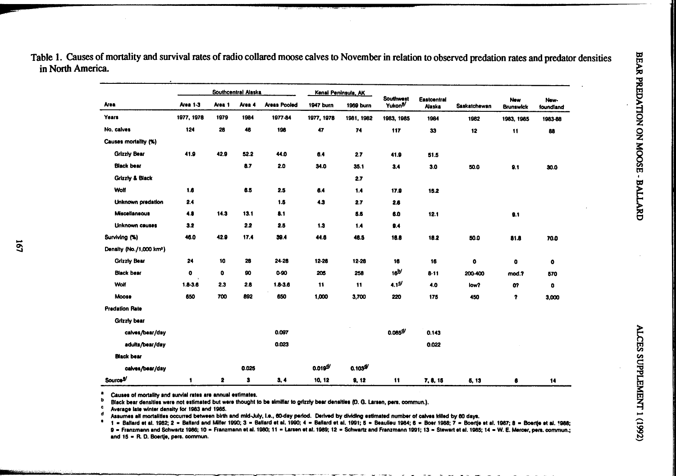| Area                                 | Southcentral Alaska |           |        |                     | Kenai Peninsula, AK |                       | <b>Southwest</b>    |                              |              |                         |                   |
|--------------------------------------|---------------------|-----------|--------|---------------------|---------------------|-----------------------|---------------------|------------------------------|--------------|-------------------------|-------------------|
|                                      | <b>Area 1-3</b>     | Area 1    | Area 4 | <b>Areas Pooled</b> | 1947 burn           | 1969 burn             | Yukon <sup>2/</sup> | Eastcentral<br><b>Alaska</b> | Saskatchewan | New<br><b>Brunswick</b> | New-<br>foundland |
| Years                                | 1977, 1978          | 1979      | 1984   | 1977-84             | 1977, 1978          | 1981, 1982            | 1983, 1985          | 1984                         | 1982         | 1983, 1985              | 1983-88           |
| No. calves                           | 124                 | 28        | 46     | 198                 | 47                  | 74                    | 117                 | 33                           | 12           | 11                      | 88                |
| Causes mortality (%)                 |                     |           |        |                     |                     |                       |                     |                              |              |                         |                   |
| <b>Grizzly Bear</b>                  | 41.9                | 42.9      | 52.2   | 44.0                | 6.4                 | 2.7                   | 41.9                | 51.5                         |              |                         |                   |
| <b>Black bear</b>                    |                     |           | 8.7    | 2.0                 | 34.0                | 35.1                  | 3.4                 | 3.0                          | 50.0         | 9.1                     | 30.0              |
| Grizzly & Black                      |                     |           |        |                     |                     | 2.7                   |                     |                              |              |                         |                   |
| Wolf                                 | 1.6                 |           | 6.5    | 2.5                 | 6.4                 | 1.4                   | 17.9                | 15.2                         |              |                         |                   |
| Unknown predation                    | 2.4                 |           |        | 1.5                 | 4.3                 | 2.7                   | 2.6                 |                              |              |                         |                   |
| Miscellaneous                        | 4.8                 | 14.3      | 13.1   | 8.1                 |                     | 6.5                   | 6.0                 | 12.1                         |              | 9.1                     |                   |
| Unknown causes                       | 3.2                 |           | 2.2    | 2.5                 | 1.3                 | 1.4                   | 9.4                 |                              |              |                         |                   |
| Surviving (%)                        | 46.0                | 42.9      | 17.4   | 39.4                | 44.6                | 48.5                  | 18.8                | 18.2                         | 50.0         | 81.8                    | 70.0              |
| Density (No./1,000 km <sup>2</sup> ) |                     |           |        |                     |                     |                       |                     |                              |              |                         |                   |
| <b>Grizzly Bear</b>                  | 24                  | 10        | 28     | $24 - 28$           | $12 - 28$           | 12-28                 | 16                  | 16                           | 0            | $\bullet$               | $\bullet$         |
| <b>Black bear</b>                    | $\bullet$           | $\bullet$ | 90     | 0-90                | 205                 | 258                   | $16^{10}$           | $8 - 11$                     | 200-400      | mod.?                   | 570               |
| Wolf                                 | $1.8 - 3.6$         | 2.3       | 2.8    | $1.8 - 3.6$         | 11                  | 11                    | 4.1 <sup>5</sup>    | 4.0                          | low?         | m                       | o                 |
| Moose                                | 650                 | 700       | 892    | 650                 | 1,000               | 3,700                 | 220                 | 175                          | 450          | 7                       | 3,000             |
| <b>Predation Rate</b>                |                     |           |        |                     |                     |                       |                     |                              |              |                         |                   |
| Grizzly bear                         |                     |           |        |                     |                     |                       |                     |                              |              |                         |                   |
| calves/bear/day                      |                     |           |        | 0.097               |                     |                       | $0.085^{4}$         | 0.143                        |              |                         |                   |
| adults/bear/day                      |                     |           |        | 0.023               |                     |                       |                     | 0.022                        |              |                         |                   |
| <b>Black bear</b>                    |                     |           |        |                     |                     |                       |                     |                              |              |                         |                   |
| calves/bear/day                      |                     |           | 0.025  |                     | $0.019^{4/2}$       | $0.103$ <sup>g/</sup> |                     |                              |              |                         |                   |
| Source <sup>9/</sup>                 | $\mathbf{1}$        | $\bullet$ | 3      | 3, 4                | 10, 12              | 9, 12                 | $\mathbf{11}$       | 7, 8, 15                     | 5, 13        | 8                       | 14 <sub>1</sub>   |

Table 1. Causes of mortality and survival rates of radio collared moose calves to November in relation to observed predation rates and predator densities in North America. in North America.  $\mathbb{R}$ 

 $^{b}$  Black bear densities were not estimated but were thought to be similiar to grizzly bear densities (D. G. Larsen, pers. commun.).

Average late winter denalty lor 1983 and 1985.

Assumes all mortalities occurred between birth and mid-July, I.e., 60-day period. Derived by dividing estimated number of calves killed by 60 days.

1 = Ballard et al. 1982; 2 = Ballard and Miller 1990; 3 = Ballard et al. 1990; 4 = Ballard et al. 1991; 5 = Beaulieu 1984; 6 = Boer 1988; 7 = Boerlje et al. 1987; 8 = Boerlje et al. 1988;<br>9 = Franzmann and Schwartz 1986; 1

trl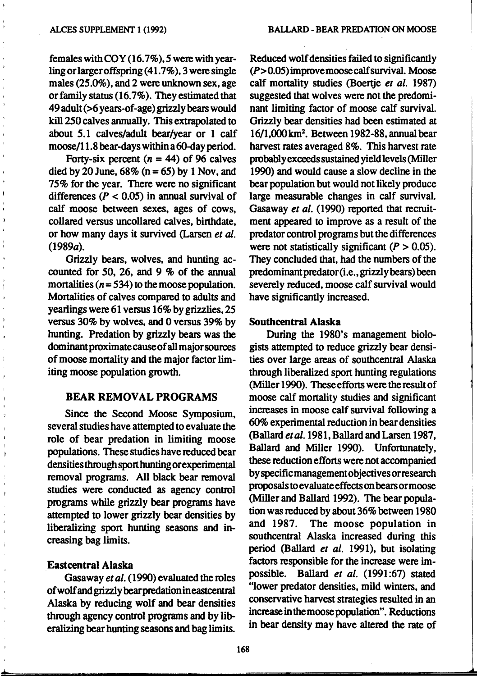females with  $COY(16.7\%)$ , 5 were with yearling or larger offspring  $(41.7\%)$ , 3 were single males (25.0%), and 2 were unknown sex, age or family status  $(16.7\%)$ . They estimated that 49 adult (>6 years-of-age) grizzly bears would kill250 calves annually. This extrapolated to about 5.1 calves/adult bear/year or 1 calf moose/11.8 bear-days within a 60-dayperiod.

Forty-six percent  $(n = 44)$  of 96 calves died by 20 June,  $68\%$  (n = 65) by 1 Nov, and 75% for the year. There were no significant differences ( $P < 0.05$ ) in annual survival of calf moose between sexes, ages of cows, collared versus uncollared calves, birthdate, or how many days it survived (Larsen *et* al. (1989a).

Grizzly bears, wolves, and hunting accounted for *50,* 26, and 9 % of the annual mortalities ( $n = 534$ ) to the moose population. Mortalities of calves compared to adults and yearlings were 61 versus 16% by grizzlies, 25 versus 30% by wolves, and 0 versus 39% by hunting. Predation by grizzly bears was the dominant proximate cause of all major sources of moose mortality and the major factor limiting moose population growth.

## BEAR REMOVAL PROGRAMS

Since the Second Moose Symposium, several studies have attempted to evaluate the role of bear predation in limiting moose populations. These studies have reduced bear densities through sport hunting or experimental removal programs. All black bear removal studies were conducted as agency control programs while grizzly bear programs have attempted to lower grizzly bear densities by liberalizing sport hunting seasons and increasing bag limits.

#### Eastcentral Alaska

..l...,..\_\_\_\_\_

Gasaway *et al.* (1990) evaluated the roles of wolf and grizzly bearpredationineastcentral Alaska by reducing wolf and bear densities through agency control programs and by liberalizing bear hunting seasons and bag limits.

Reduced wolf densities failed to significantly *(P>* 0.05) improve moose calf survival. Moose calf mortality studies (Boertje *et al.* 1987) suggested that wolves were not the predominant limiting factor of moose calf survival. Grizzly bear densities had been estimated at 16/1,000km<sup>2</sup> • Between 1982-88,annualbear harvest rates averaged 8%. This harvest rate probably exceeds sustained yield levels (Miller 1990) and would cause a slow decline in the bear population but would not likely produce large measurable changes in calf survival. Gasaway *et al.* (1990) reported that recruitment appeared to improve as a result of the predator control programs but the differences were not statistically significant  $(P > 0.05)$ . They concluded that, had the numbers of the predominantpredator(i.e., grizzly bears) been severely reduced, moose calf survival would have significantly increased.

## Southcentral Alaska

During the 1980's management biologists attempted to reduce grizzly bear densities over large areas of southcentral Alaska through liberalized sport hunting regulations (Miller 1990). These efforts were the result of moose calf mortality studies and significant increases in moose calf survival following a 60% experimental reduction in bear densities (Ballard *et al.* 1981, Ballard and Larsen 1987, Ballard and Miller 1990). Unfortunately, these reduction efforts were not accompanied byspecificmanagementobjectivesorresearch proposals to evaluate effects on bears ormoose (Miller and Ballard 1992). The bear population was reduced by about 36% between 1980 and 1987. The moose population in southcentral Alaska increased during this period (Ballard *et al.* 1991), but isolating factors responsible for the increase were impossible. Ballard et al. (1991:67) stated "lower predator densities, mild winters, and conservative harvest strategies resulted in an increase in the moose population". Reductions in bear density may have altered the rate of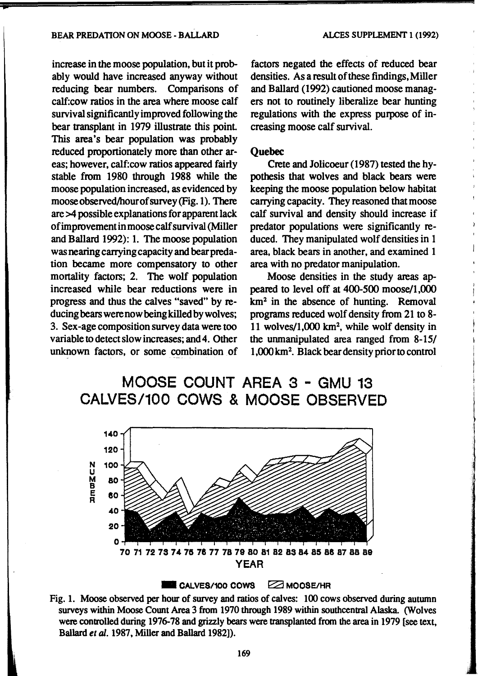#### BEAR PREDATION ON MOOSE- BALLARD

increase in the moose population, but it probably would have increased anyway without reducing bear numbers. Comparisons of calf:cow ratios in the area where moose calf survival significantly improved following the bear transplant in 1979 illustrate this point This area's bear population was probably reduced proportionately more than other areas; however, calf:cow ratios appeared fairly stable from 1980 through 1988 while the moose population increased, as evidenced by mooseobserved/hourofsurvey(Fig.1). There are >4 possible explanations for apparent lack of improvement in moose calf survival (Miller and Ballard 1992): 1. The moose population was nearing carrying capacity and bear predation became more compensatory to other mortality factors; 2. The wolf population increased while bear reductions were in progress and thus the calves "saved" by reducing bears were now being killed by wolves; 3. Sex -age composition survey data were too variable to detect slow increases; and 4. Other unknown factors, or some combination of

factors negated the effects of reduced bear densities. As a result of these findings, Miller and Ballard (1992) cautioned moose managers not to routinely liberalize bear hunting regulations with the express purpose of increasing moose calf survival.

## **Quebec**

Crete and Jolicoeur (1987) tested the hypothesis that wolves and black bears were keeping the moose population below habitat carrying capacity. They reasoned that moose calf survival and density should increase if predator populations were significantly reduced. They manipulated wolf densities in 1 area, black bears in another, and examined 1 area with no predator manipulation.

Moose densities in the study areas appeared to level off at 400-500 moose/1,000 km2 in the absence of hunting. Removal programs reduced wolf density from 21 to 8- 11 wolves/1,000 km2, while wolf density in the unmanipulated area ranged from 8-15/ 1,000km<sup>2</sup> • Black beardensitypriorto control

# MOOSE COUNT AREA 3 - GMU 13 CALVES/100 COWS & MOOSE OBSERVED



#### $\blacksquare$  CALVES/100 COWS  $\Box$  MOOSE/HR

Fig. 1. Moose observed per hour of survey and ratios of calves: 100 cows observed during autumn surveys within Moose Count Area 3 from 1970 through 1989 within southcentral Alaska. (Wolves were controlled during 1976-78 and grizzly bears were transplanted from the area in 1979 [see text, Ballard *et* al. 1987, Miller and Ballard 1982]).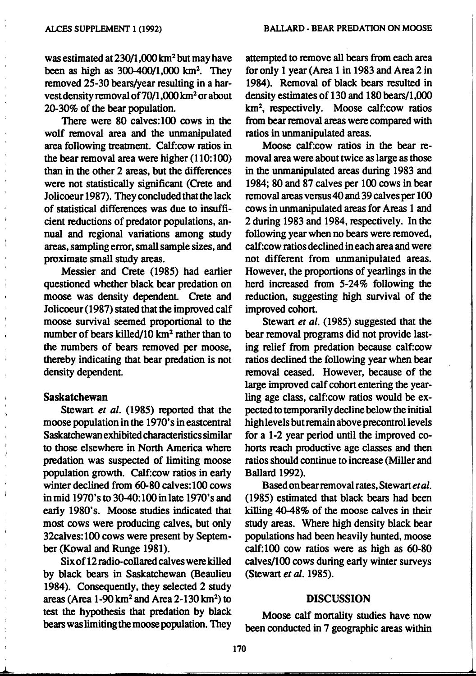was estimated at 230/1,000 km<sup>2</sup> but may have been as high as  $300 - 400/1,000$  km<sup>2</sup>. They removed 25-30 bears/year resulting in a harvest density removal of70/l ,000 km2 or about 20-30% of the bear population.

There were 80 calves:lOO cows in the wolf removal area and the unmanipulated area following treatment. Calf:cow ratios in the bear removal area were higher (110: 100) than in the other 2 areas, but the differences were not statistically significant (Crete and Jolicoeur 1987). They concluded that the lack of statistical differences was due to insufficient reductions of predator populations, annual and regional variations among study areas, sampling error, small sample sizes, and proximate small study areas.

Messier and Crete (1985) had earlier questioned whether black bear predation on moose was density dependent. Crete and Jolicoeur (1987) stated that the improved calf moose survival seemed proportional to the number of bears killed/10  $km^2$  rather than to the numbers of bears removed per moose, thereby indicating that bear predation is not density dependent.

## Saskatchewan

 $\perp$ .

Stewart et al. (1985) reported that the moose population in the 1970's in eastcentral Saskatchewan exhibited characteristics similar to those elsewhere in North America where predation was suspected of limiting moose population growth. Calf:cow ratios in early winter declined from 60-80 calves: 100 cows in mid 1970's to 30-40:100 in late 1970's and early 1980's. Moose studies indicated that most cows were producing calves, but only 32calves:100 cows were present by September (Kowal and Runge 1981).

Six of 12 radio-collared calves were killed by black bears in Saskatchewan (Beaulieu 1984). Consequently, they selected 2 study areas (Area  $1-90 \text{ km}^2$  and Area  $2-130 \text{ km}^2$ ) to test the hypothesis that predation by black bears was limiting the moose population. They

attempted to remove all bears from each area for only 1 year (Area 1 in 1983 and Area 2 in 1984). Removal of black bears resulted in density estimates of 130 and 180 bears/1,000 km2 , respectively. Moose calf:cow ratios from bear removal areas were compared with ratios in unmanipulated areas.

Moose calf:cow ratios in the bear removal area were about twice as large as those in the unmanipulated areas during 1983 and 1984; 80 and 87 calves per 100 cows in bear removal areas versus 40 and 39 calves per 100 cows in unmanipulated areas for Areas 1 and 2 during 1983 and 1984, respectively. In the following year when no bears were removed, calf:cow ratios declined in each area and were not different from unmanipulated areas. However, the proportions of yearlings in the herd increased from 5-24% following the reduction, suggesting high survival of the improved cohort.

Stewart *et al.* (1985) suggested that the bear removal programs did not provide lasting relief from predation because calf:cow ratios declined the following year when bear removal ceased. However, because of the large improved calf cohort entering the yearling age class, calf:cow ratios would be expected to temporarily decline below the initial high levels but remain above precontrol levels for a 1-2 year period until the improved cohorts reach productive age classes and then ratios should continue to increase (Miller and Ballard 1992).

Based on bear removal rates, Stewart *et al.*  (1985) estimated that black bears had been killing 40-48% of the moose calves in their study areas. Where high density black bear populations had been heavily hunted, moose calf:lOO cow ratios were as high as 60-80 calves/100 cows during early winter surveys (Stewart *et* al. 1985).

#### DISCUSSION

Moose calf mortality studies have now been conducted in 7 geographic areas within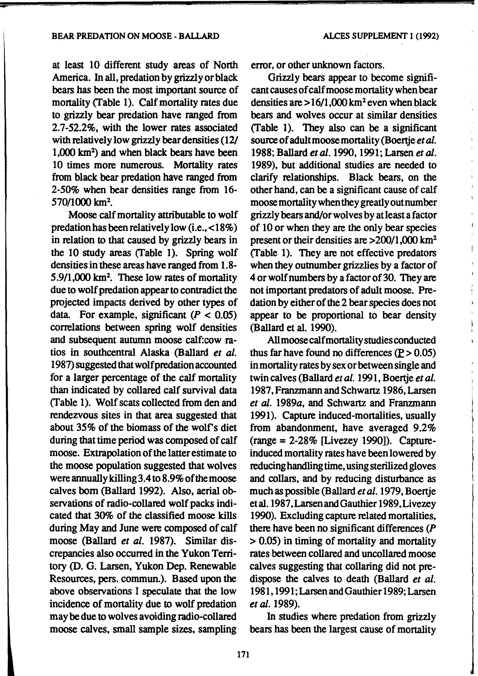at least 10 different study areas of North America. In all, predation by grizzly or black bears has been the most important source of mortality (Table 1). Calf mortality rates due to grizzly bear predation have ranged from 2.7-52.2%, with the lower rates associated with relatively low grizzly bear densities (12/ 1,000 km2 ) and when black bears have been 10 times more numerous. Mortality rates from black bear predation have ranged from 2-50% when bear densities range from 16- 570/1000 km<sup>2</sup>.

Moose calf mortality attributable to wolf predation has been relatively low (i.e., <18%) in relation to that caused by grizzly bears in the  $10$  study areas (Table 1). Spring wolf densities in these areas have ranged from 1.8- 5.9/1,000 km<sup>2</sup>. These low rates of mortality due to wolf predation appear to contradict the projected impacts derived by other types of data. For example, significant  $(P < 0.05)$ correlations between spring wolf densities and subsequent autumn moose calf:cow ratios in southcentral Alaska (Ballard *et al.*  1987) suggested that wolf predation accounted for a larger percentage of the calf mortality than indicated by collared calf survival data (Table 1). Wolf scats collected from den and rendezvous sites in that area suggested that about 35% of the biomass of the wolf's diet during that time period was composed of calf moose. Extrapolation of the latter estimate to the moose population suggested that wolves were annually killing 3.4 to 8.9% of the moose calves born (Ballard 1992). Also, aerial observations of radio-collared wolf packs indicated that 30% of the classified moose kills during May and June were composed of calf moose (Ballard *et al.* 1987). Similar discrepancies also occurred in the Yukon Territory (D. G. Larsen, Yukon Dep. Renewable Resources, pers. commun.). Based upon the above observations I speculate that the low incidence of mortality due to wolf predation may be due to wolves avoiding radio-collared moose calves, small sample sizes, sampling

error, or other unknown factors.

Grizzly bears appear to become significant causes of calf moose mortality when bear densities are  $> 16/1,000$  km<sup>2</sup> even when black bears and wolves occur at similar densities (Table 1). They also can be a significant source of adult moose mortality (Boertje *et al.*  1988; Ballard et al. 1990, 1991; Larsen et al. 1989), but additional studies are needed to clarify relationships. Black bears, on the other hand, can be a significant cause of calf moose mortality when they greatly outnumber grizzly bears and/or wolves by at least a factor of 10 or when they are the only bear species present or their densities are  $>200/1,000$  km<sup>2</sup> (Table 1). They are not effective predators when they outnumber grizzlies by a factor of 4 or wolf numbers by a factor of 30. They are not important predators of adult moose. Predation by either of the 2 bear species does not appear to be proportional to bear density (Ballard et al. 1990).

All moose calf mortality studies conducted thus far have found no differences  $(P > 0.05)$ in mortality rates by sex or between single and twin calves (Ballard *et al.* 1991, Boertje *et al.*  1987, Franzmann and Schwartz 1986, Larsen *et* al. 1989a, and Schwartz and Franzmann 1991). Capture induced-mortalities, usually from abandonment, have averaged 9.2%  $(range = 2-28\% [Livezey 1990]).$  Captureinduced mortality rates have been lowered by reducing handling time, using sterilized gloves and collars, and by reducing disturbance as much as possible (Ballard *et al.* 1979, Boertje et al. 1987 ,Larsen and Gauthier 1989, Livezey 1990). Excluding capture related mortalities, there have been no significant differences (P > 0.05) in timing of mortality and mortality rates between collared and uncollared moose calves suggesting that collaring did not predispose the calves to death (Ballard *et al.*  1981, 1991; Larsen and Gauthier 1989; Larsen *et* al. 1989).

In studies where predation from grizzly bears has been the largest cause of mortality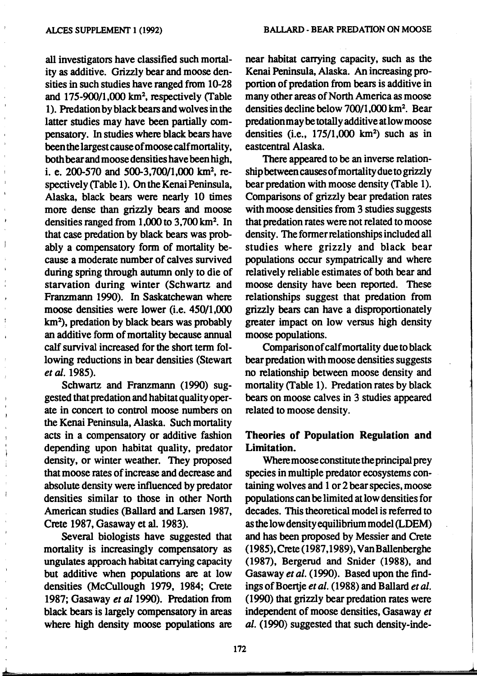all investigators have classified such mortality as additive. Grizzly bear and moose densities in such studies have ranged from 10-28 and 175-900/1,000 km2 , respectively (Table 1 ). Predation by black bears and wolves in the latter studies may have been partially compensatory. In studies where black bears have been the largest cause of moose calf mortality, both bear and moose densities have been high, i. e. 200-570 and 500-3,700/1,000 km<sup>2</sup>, respectively (Table 1). On the Kenai Peninsula, Alaska, black bears were nearly 10 times more dense than grizzly bears and moose densities ranged from  $1,000$  to  $3,700$  km<sup>2</sup>. In that case predation by black bears was probably a compensatory fonn of mortality because a moderate number of calves survived during spring through autumn only to die of starvation during winter (Schwartz and Franzmann 1990). In Saskatchewan where moose densities were lower (i.e. 450/1,000 km2 ), predation by black bears was probably an additive fonn of mortality because annual calf survival increased for the short term following reductions in bear densities (Stewart *et* al. 1985).

Schwartz and Franzmann (1990) suggested that predation and habitat quality operate in concert to control moose numbers on the Kenai Peninsula, Alaska. Such mortality acts in a compensatory or additive fashion depending upon habitat quality, predator density, or winter weather. They proposed that moose rates of increase and decrease and absolute density were influenced by predator densities similar to those in other North American studies (Ballard and Larsen 1987, Crete 1987, Gasaway et al. 1983).

Several biologists have suggested that mortality is increasingly compensatory as ungulates approach habitat carrying capacity but additive when populations are at low densities (McCullough 1979, 1984; Crete 1987; Gasaway *et* a/1990). Predation from black bears is largely compensatory in areas where high density moose populations are near habitat carrying capacity, such as the Kenai Peninsula, Alaska. An increasing proportion of predation from bears is additive in many other areas of North America as moose densities decline below 700/1,000 km<sup>2</sup>. Bear predation may be totally additive atlow moose densities (i.e., 175/1,000 km2 ) such as in eastcentral Alaska.

There appeared to be an inverse relationship between causes of mortality due to grizzly bear predation with moose density (Table 1). Comparisons of grizzly bear predation rates with moose densities from 3 studies suggests that predation rates were not related to moose density. The former relationships included all studies where grizzly and black bear populations occur sympatrically and where relatively reliable estimates of both bear and moose density have been reported. These relationships suggest that predation from grizzly bears can have a disproportionately greater impact on low versus high density moose populations.

Comparison of calf mortality due to black bear predation with moose densities suggests no relationship between moose density and mortality (Table 1). Predation rates by black bears on moose calves in 3 studies appeared related to moose density.

## Theories of Population Regulation and Limitation.

Where moose constitute the principal prey species in multiple predator ecosystems containing wolves and 1 or 2 bear species, moose populations can be limited at low densities for decades. This theoretical model is referred to as the low density equilibrium model (LDEM) and has been proposed by Messier and Crete (1985),Crete(1987,1989), VanBallenberghe (1987), Bergerud and Snider (1988), and Gasaway *et al.* (1990). Based upon the findings of Boertje et al. (1988) and Ballard et al. (1990) that grizzly bear predation rates were independent of moose densities, Gasaway *et al.* (1990) suggested that such density-inde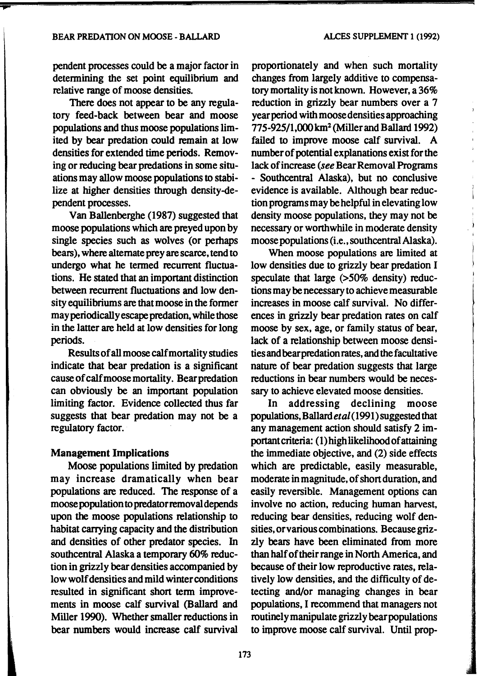pendent processes could be a major factor in determining the set point equilibrium and relative range of moose densities.

There does not appear to be any regulatory feed-back between bear and moose populations and thus moose populations limited by bear predation could remain at low densities for extended time periods. Removing or reducing bear predations in some situations may allow moose populations to stabilize at higher densities through density-dependent processes.

Van Ballenberghe (1987) suggested that moose populations which are preyed upon by single species such as wolves (or pemaps bears), where alternate prey are scarce, tend to undergo what he termed recurrent fluctuations. He stated that an important distinction between recurrent fluctuations and low density equilibriums are that moose in the former may periodically escape predation, while those in the latter are held at low densities for long periods.

Results of all moose calf mortality studies indicate that bear predation is a significant cause of calf moose mortality. Bear predation can obviously be an important population limiting factor. Evidence collected thus far suggests that bear predation may not be a regulatory factor.

## Management Implications

Moose populations limited by predation may increase dramatically when bear populations are reduced. The response of a moose population to predator removal depends upon the moose populations relationship to habitat carrying capacity and the distribution and densities of other predator species. In southcentral Alaska a temporary 60% reduction in grizzly bear densities accompanied by low wolf densities and mild winter conditions resulted in significant short term improvements in moose calf survival (Ballard and Miller 1990). Whether smaller reductions in bear numbers would increase calf survival

proportionately and when such mortality changes from largely additive to compensatory mortality is not known. However, a 36% reduction in grizzly bear numbers over a 7 year period with moose densities approaching 775-925/1,000 km<sup>2</sup> (Miller and Ballard 1992) failed to improve moose calf survival. A number of potential explanations exist for the lack of increase *(see* Bear Removal Programs - Southcentral Alaska), but no conclusive evidence is available. Although bear reduction programs may be helpful in elevating low density moose populations, they may not be necessary or worthwhile in moderate density moose populations (i.e., southcentral Alaska).

When moose populations are limited at low densities due to grizzly bear predation I speculate that large (>50% density) reductions may be necessary to achieve measurable increases in moose calf survival. No differences in grizzly bear predation rates on calf moose by sex, age, or family status of bear, lack of a relationship between moose densities and bear predation rates, and the facultative nature of bear predation suggests that large reductions in bear numbers would be necessary to achieve elevated moose densities.

In addressing declining moose populations, Ballard *etal* (1991) suggested that any management action should satisfy 2 important criteria: ( 1) high likelihood of attaining the immediate objective, and (2) side effects which are predictable, easily measurable, moderate in magnitude, of short duration, and easily reversible. Management options can involve no action, reducing human harvest, reducing bear densities, reducing wolf densities, orvarious combinations. Because grizzly bears have been eliminated from more than half of their range in North America, and because of their low reproductive rates, relatively low densities, and the difficulty of detecting and/or managing changes in bear populations, I recommend that managers not routinely manipulate grizzly bear populations to improve moose calf survival. Until prop-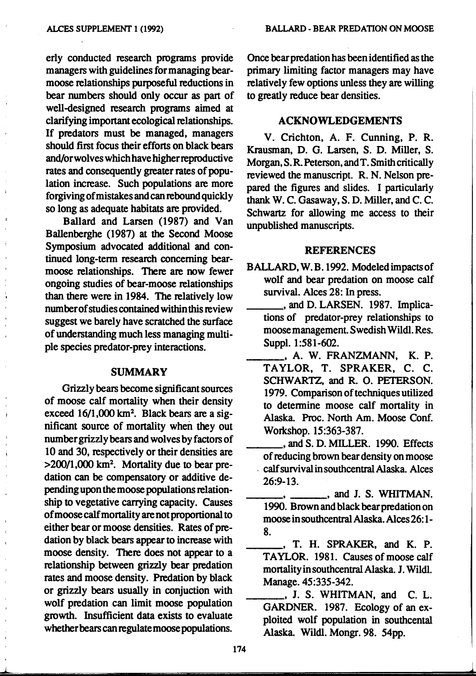erly conducted research programs provide managers with guidelines for managing bearmoose relationships purposeful reductions in bear numbers should only occur as part of well-designed research programs aimed at clarifying important ecological relationships. If predators must be managed, managers should first focus their efforts on black bears and/orwolves which have higher reproductive rates and consequently greater rates of population increase. Such populations are more forgiving of mistakes and can rebound quickly so long as adequate habitats are provided.

Ballard and Larsen (1987) and Van Ballenberghe (1987) at the Second Moose Symposium advocated additional and continued long-term research concerning bearmoose relationships. There are now fewer ongoing studies of bear-moose relationships than there were in 1984. The relatively low number of studies contained within this review suggest we barely have scratched the surface of understanding much less managing multiple species predator-prey interactions.

#### SUMMARY

Grizzly bears become significant sources of moose calf mortality when their density exceed 16/1,000 km<sup>2</sup>. Black bears are a significant source of mortality when they out number grizzly bears and wolves by factors of 10 and 30, respectively or their densities are  $>200/1,000$  km<sup>2</sup>. Mortality due to bear predation can be compensatory or additive depending upon the moose populations relationship to vegetative carrying capacity. Causes of moose calf mortality are not proportional to either bear or moose densities. Rates of predation by black bears appear to increase with moose density. There does not appear to a relationship between grizzly bear predation rates and moose density. Predation by black or grizzly bears usually in conjuction with wolf predation can limit moose population growth. Insufficient data exists to evaluate whether bears can regulate moose populations.

 $\perp$ 

Once bear predation has been identified as the primary limiting factor managers may have relatively few options unless they are willing to greatly reduce bear densities.

## ACKNOWLEDGEMENTS

V. Crichton, A. F. Cunning, P. R. Krausman, D. G. Larsen, S. D. Miller, S. Morgan, S. R. Peterson, and T. Smith critically reviewed the manuscript. R.N. Nelson prepared the figures and slides. I particularly thank W. C. Gasaway, S.D. Miller, and C. C. Schwartz for allowing me access to their unpublished manuscripts.

## **REFERENCES**

- BALLARD, W.B.l992. Modeledimpactsof wolf and bear predation on moose calf survival. Alces 28: In press.
	- \_\_\_ ,and D. LARSEN. 1987. Implications of predator-prey relationships to moose management. Swedish Wildl. Res. Suppl. 1:581-602.
	- \_\_\_ , A. W. FRANZMANN, K. P. TAYLOR, T. SPRAKER, C. C. SCHWARTZ, and R. 0. PETERSON. 1979. Comparison of techniques utilized to detennine moose calf mortality in Alaska. Proc. North Am. Moose Conf. Workshop. 15:363-387.
	- \_\_\_ ,and S. D. MILLER. 1990. Effects of reducing brown bear density on moose - calf survival in southcentral Alaska. Alces 26:9-13.
	- $\Box$ , and J. S. WHITMAN. 1990. Brown and black bear predation on moose in southcentral Alaska. Alces 26: 1- 8.<br>\_\_\_\_\_, T. H. SPRAKER, and K. P.
	- TAYLOR. 1981. Causes of moose calf mortality in southcentral Alaska. J. Wildl. Manage. 45:335-342.
	- $\_$ , J. S. WHITMAN, and C. L. GARDNER. 1987. Ecology of an exploited wolf population in southcental Alaska. Wildl. Mongr. 98. 54pp.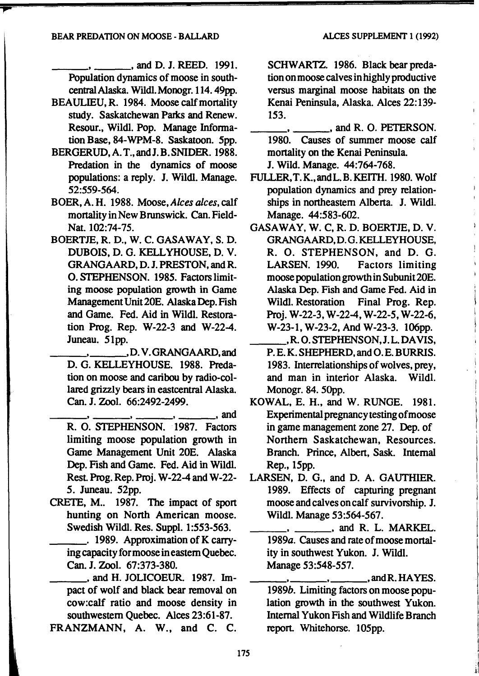$\ldots$ , and D. J. REED. 1991. Population dynamics of moose in southcentral Alaska. Wildl.Monogr.114. 49pp.

- BEAULIEU, R. 1984. Moose calf mortality study. Saskatchewan Parks and Renew. Resour., Wildl. Pop. Manage Information Base, 84-WPM-8. Saskatoon. 5pp.
- BERGERUD,A. T.,andJ.B.SNIDER. 1988. Predation in the dynamics of moose populations: a reply. J. Wildl. Manage. 52:559-564.
- BOER, A.H. 1988. Moose, Alces alces, calf mortality in New Brunswick. Can. Field-Nat. 102:74-75.
- BOERTJE, R. D., W. C. GASAWAY, S. D. DUBOIS, D. G. KELL YHOUSE, D. V. GRANGAARD, D. J. PRESTON, and R. 0. STEPHENSON. 1985. Factors limiting moose population growth in Game Management Unit 20E. Alaska Dep. Fish and Game. Fed. Aid in Wildl. Restoration Prog. Rep. W-22-3 and W-22-4. Juneau. 51pp.

\_\_\_ . \_\_\_ ,D. V.GRANGAARD,and D. G. KELLEYHOUSE. 1988. Predation on moose and caribou by radio-collared grizzly bears in eastcentral Alaska. racu grizzly bears in easteeman Alaska.<br>
Can. J. Zool. 66:2492-2499.<br>  $\frac{1}{\sqrt{2\pi}}$ , and

- R. 0. STEPHENSON. 1987. Factors limiting moose population growth in Game Management Unit 20E. Alaska Dep. Fish and Game. Fed. Aid in Wildl. Rest. Prog. Rep. Proj. W-22-4 and W-22-*5.* Juneau. 52pp.
- CRETE, M.. 1987. The impact of sport hunting on North American moose. Swedish Wildl. Res. Suppl. 1:553-563.
	- $\frac{1}{2}$ . 1989. Approximation of K carrying capacity for moose in eastern Quebec. Can. J. Zool. 67:373-380.
- \_\_\_ , and H. JOLICOEUR. 1987. Impact of wolf and black bear removal on cow:calf ratio and moose density in southwestern Quebec. Alces 23:61-87.

SCHWARTZ. 1986. Black bear predation on moose calves in highly productive versus marginal moose habitats on the Kenai Peninsula, Alaska. Alces 22:139- 153.

\_\_\_\_\_\_ ., and R. 0. PETERSON. 1980. Causes of summer moose calf mortality on the Kenai Peninsula.

J. Wild. Manage. 44:764-768.

- FULLER,T.K.,andL.B.KEITH. 1980. Wolf population dynamics and prey relationships in northeastern Alberta. J. Wildl. Manage. 44:583-602.
- GASAWAY, W. C, R. D. BOERTJE, D. V. GRANGAARD,D.G.KELLEYHOUSE, R. 0. STEPHENSON, and D. G. LARSEN. 1990. Factors limiting moose population growth in Subunit 20E. Alaska Dep. Fish and Game Fed. Aid in Wildl. Restoration Final Prog. Rep. Proj. W-22-3, W-22-4, W-22-5, W-22-6, W-23-1, W-23-2, And W-23-3. 106pp.<br>
R. O. STEPHENSON, J. L. DAVIS,
	- P. E. K. SHEPHERD, and 0. E. BURRIS. 1983. Interrelationships of wolves, prey, and man in interior Alaska. Wildl. Monogr. 84. 50pp.
- KOWAL, E. H., and W. RUNGE. 1981. Experimental pregnancy testing of moose in game management zone 27. Dep. of Northern Saskatchewan, Resources. Branch. Prince, Albert, Sask. Internal Rep., 15pp.
- LARSEN, D. G., and D. A. GAUTHIER. 1989. Effects of capturing pregnant moose and calves on calf survivorship. J. Wildl. Manage 53:564-567.
	- $\ldots$ , and R. L. MARKEL. 1989a. Causes and rate of moose mortality in southwest Yukon. J. Wildl. Manage 53:548-557.

 $\mu$ , \_\_\_ , and R. HAYES. 1989b. Limiting factors on moose population growth in the southwest Yukon. Internal Yukon Fish and Wildlife Branch report. Whitehorse. 105pp.

.~1